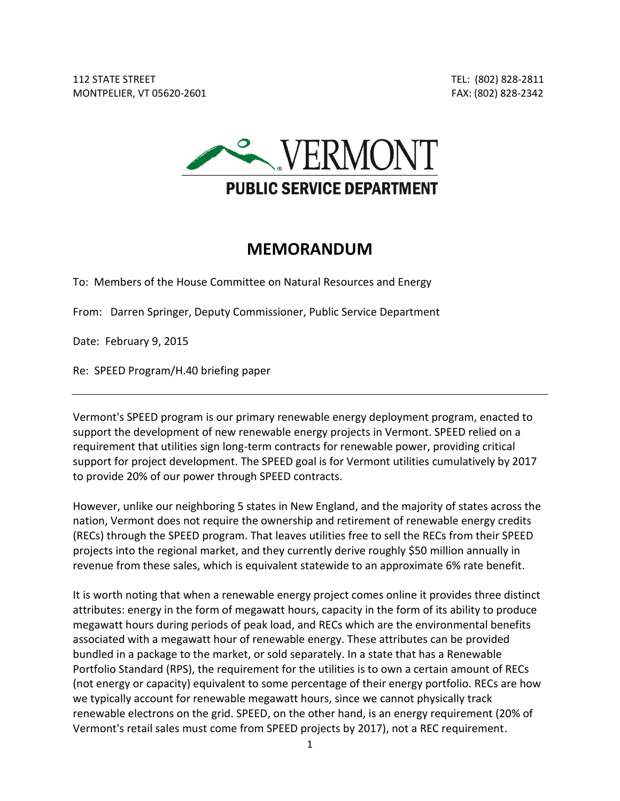

## **MEMORANDUM**

To: Members of the House Committee on Natural Resources and Energy

From: Darren Springer, Deputy Commissioner, Public Service Department

Date: February 9, 2015

Re: SPEED Program/H.40 briefing paper

Vermont's SPEED program is our primary renewable energy deployment program, enacted to support the development of new renewable energy projects in Vermont. SPEED relied on a requirement that utilities sign long-term contracts for renewable power, providing critical support for project development. The SPEED goal is for Vermont utilities cumulatively by 2017 to provide 20% of our power through SPEED contracts.

However, unlike our neighboring 5 states in New England, and the majority of states across the nation, Vermont does not require the ownership and retirement of renewable energy credits (RECs) through the SPEED program. That leaves utilities free to sell the RECs from their SPEED projects into the regional market, and they currently derive roughly \$50 million annually in revenue from these sales, which is equivalent statewide to an approximate 6% rate benefit.

It is worth noting that when a renewable energy project comes online it provides three distinct attributes: energy in the form of megawatt hours, capacity in the form of its ability to produce megawatt hours during periods of peak load, and RECs which are the environmental benefits associated with a megawatt hour of renewable energy. These attributes can be provided bundled in a package to the market, or sold separately. In a state that has a Renewable Portfolio Standard (RPS), the requirement for the utilities is to own a certain amount of RECs (not energy or capacity) equivalent to some percentage of their energy portfolio. RECs are how we typically account for renewable megawatt hours, since we cannot physically track renewable electrons on the grid. SPEED, on the other hand, is an energy requirement (20% of Vermont's retail sales must come from SPEED projects by 2017), not a REC requirement.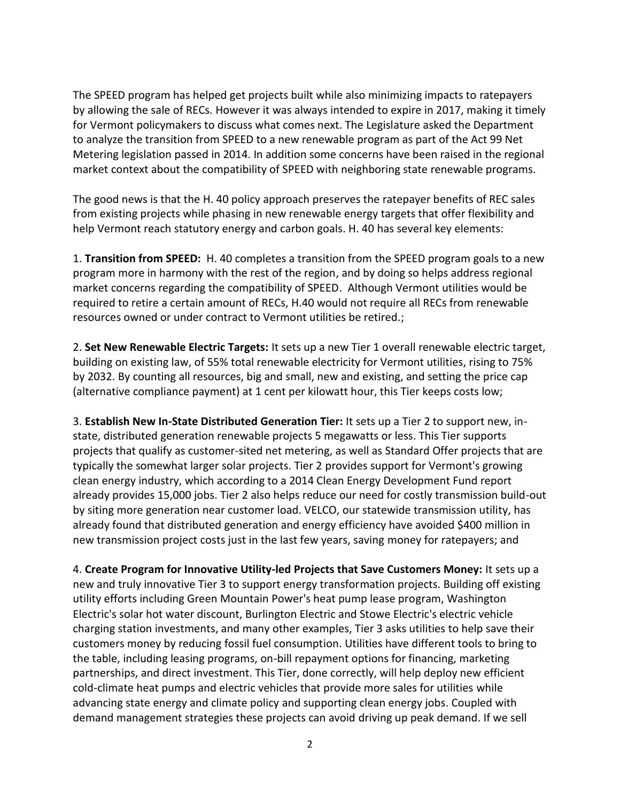The SPEED program has helped get projects built while also minimizing impacts to ratepayers by allowing the sale of RECs. However it was always intended to expire in 2017, making it timely for Vermont policymakers to discuss what comes next. The Legislature asked the Department to analyze the transition from SPEED to a new renewable program as part of the Act 99 Net Metering legislation passed in 2014. In addition some concerns have been raised in the regional market context about the compatibility of SPEED with neighboring state renewable programs.

The good news is that the H. 40 policy approach preserves the ratepayer benefits of REC sales from existing projects while phasing in new renewable energy targets that offer flexibility and help Vermont reach statutory energy and carbon goals. H. 40 has several key elements:

1. **Transition from SPEED:** H. 40 completes a transition from the SPEED program goals to a new program more in harmony with the rest of the region, and by doing so helps address regional market concerns regarding the compatibility of SPEED. Although Vermont utilities would be required to retire a certain amount of RECs, H.40 would not require all RECs from renewable resources owned or under contract to Vermont utilities be retired.;

2. **Set New Renewable Electric Targets:** It sets up a new Tier 1 overall renewable electric target, building on existing law, of 55% total renewable electricity for Vermont utilities, rising to 75% by 2032. By counting all resources, big and small, new and existing, and setting the price cap (alternative compliance payment) at 1 cent per kilowatt hour, this Tier keeps costs low;

3. **Establish New In-State Distributed Generation Tier:** It sets up a Tier 2 to support new, instate, distributed generation renewable projects 5 megawatts or less. This Tier supports projects that qualify as customer-sited net metering, as well as Standard Offer projects that are typically the somewhat larger solar projects. Tier 2 provides support for Vermont's growing clean energy industry, which according to a 2014 Clean Energy Development Fund report already provides 15,000 jobs. Tier 2 also helps reduce our need for costly transmission build-out by siting more generation near customer load. VELCO, our statewide transmission utility, has already found that distributed generation and energy efficiency have avoided \$400 million in new transmission project costs just in the last few years, saving money for ratepayers; and

4. **Create Program for Innovative Utility-led Projects that Save Customers Money:** It sets up a new and truly innovative Tier 3 to support energy transformation projects. Building off existing utility efforts including Green Mountain Power's heat pump lease program, Washington Electric's solar hot water discount, Burlington Electric and Stowe Electric's electric vehicle charging station investments, and many other examples, Tier 3 asks utilities to help save their customers money by reducing fossil fuel consumption. Utilities have different tools to bring to the table, including leasing programs, on-bill repayment options for financing, marketing partnerships, and direct investment. This Tier, done correctly, will help deploy new efficient cold-climate heat pumps and electric vehicles that provide more sales for utilities while advancing state energy and climate policy and supporting clean energy jobs. Coupled with demand management strategies these projects can avoid driving up peak demand. If we sell